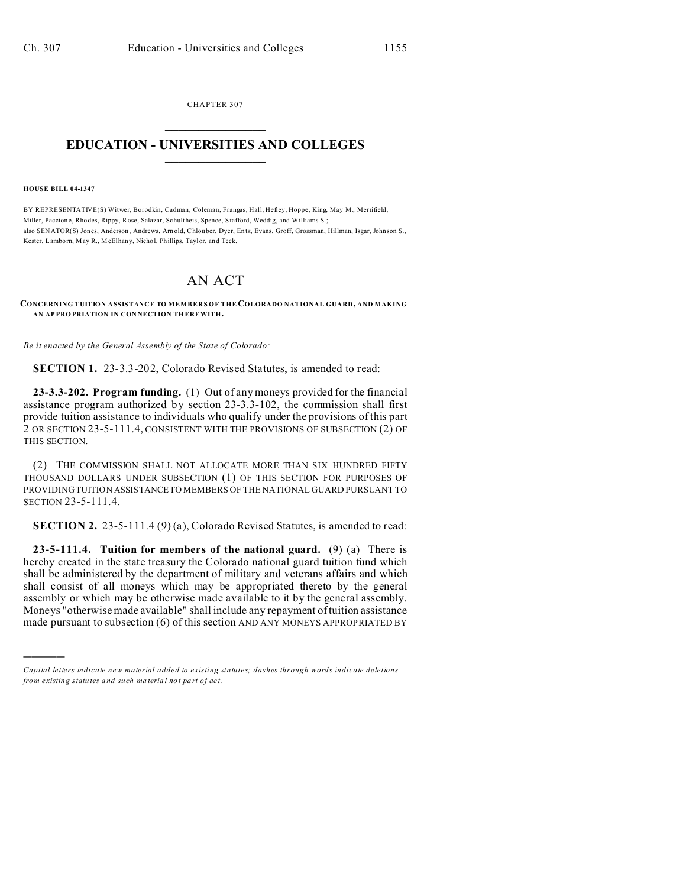CHAPTER 307  $\overline{\phantom{a}}$  , where  $\overline{\phantom{a}}$ 

## **EDUCATION - UNIVERSITIES AND COLLEGES**  $\frac{1}{2}$

## **HOUSE BILL 04-1347**

)))))

BY REPRESENTATIVE(S) Witwer, Borodkin, Cadman, Coleman, Frangas, Hall, Hefley, Hoppe, King, May M., Merrifield, Miller, Paccion e, Rhodes, Rippy, Rose, Salazar, Schultheis, Spence, Stafford, Weddig, and Williams S.; also SENATOR(S) Jones, Anderson , Andrews, Arnold, Chlou ber, Dyer, En tz, Evans, Groff, Grossman, Hillman, Isgar, Johnson S., Kester, Lamborn, May R., McElhany, Nicho l, Phillips, Taylor, an d Teck.

## AN ACT

## **CONCERNING TUITION ASSISTANCE TO MEMBERS OF THECOLORADO NATIONAL GUARD, AND MAKING AN AP PRO PRIATION IN CON NECTION TH EREWITH.**

*Be it enacted by the General Assembly of the State of Colorado:*

**SECTION 1.** 23-3.3-202, Colorado Revised Statutes, is amended to read:

**23-3.3-202. Program funding.** (1) Out of any moneys provided for the financial assistance program authorized by section 23-3.3-102, the commission shall first provide tuition assistance to individuals who qualify under the provisions of this part 2 OR SECTION 23-5-111.4, CONSISTENT WITH THE PROVISIONS OF SUBSECTION (2) OF THIS SECTION.

(2) THE COMMISSION SHALL NOT ALLOCATE MORE THAN SIX HUNDRED FIFTY THOUSAND DOLLARS UNDER SUBSECTION (1) OF THIS SECTION FOR PURPOSES OF PROVIDING TUITION ASSISTANCE TO MEMBERS OF THE NATIONAL GUARD PURSUANT TO SECTION 23-5-111.4.

**SECTION 2.** 23-5-111.4 (9) (a), Colorado Revised Statutes, is amended to read:

**23-5-111.4. Tuition for members of the national guard.** (9) (a) There is hereby created in the state treasury the Colorado national guard tuition fund which shall be administered by the department of military and veterans affairs and which shall consist of all moneys which may be appropriated thereto by the general assembly or which may be otherwise made available to it by the general assembly. Moneys "otherwise made available" shall include any repayment of tuition assistance made pursuant to subsection (6) of this section AND ANY MONEYS APPROPRIATED BY

*Capital letters indicate new material added to existing statutes; dashes through words indicate deletions from e xistin g statu tes a nd such ma teria l no t pa rt of ac t.*